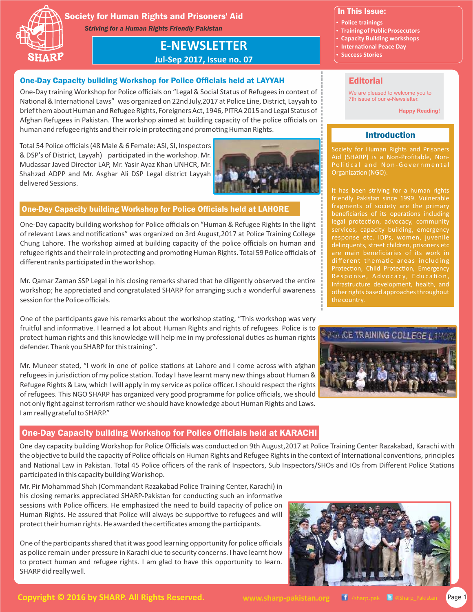

# Society for Human Rights and Prisoners' Aid

*Striving for a Human Rights Friendly Pakistan*

**E-NEWSLETTER**

**Jul-Sep 2017, Issue no. 07**

# One-Day Capacity building Workshop for Police Officials held at LAYYAH

One-Day training Workshop for Police officials on "Legal & Social Status of Refugees in context of National & International Laws" was organized on 22nd July,2017 at Police Line, District, Layyah to brief them about Human and Refugee Rights, Foreigners Act, 1946, PITRA 2015 and Legal Status of Afghan Refugees in Pakistan. The workshop aimed at building capacity of the police officials on human and refugee rights and their role in protecting and promoting Human Rights.

Total 54 Police officials (48 Male & 6 Female: ASI, SI, Inspectors & DSP's of District, Layyah) parcipated in the workshop. Mr. Mudassar Javed Director LAP, Mr. Yasir Ayaz Khan UNHCR, Mr. Shahzad ADPP and Mr. Asghar Ali DSP Legal district Layyah delivered Sessions.



# One-Day Capacity building Workshop for Police Officials held at LAHORE

One-Day capacity building workshop for Police officials on "Human & Refugee Rights In the light of relevant Laws and notifications" was organized on 3rd August,2017 at Police Training College Chung Lahore. The workshop aimed at building capacity of the police officials on human and refugee rights and their role in protecting and promoting Human Rights. Total 59 Police officials of different ranks participated in the workshop.

Mr. Qamar Zaman SSP Legal in his closing remarks shared that he diligently observed the entire workshop; he appreciated and congratulated SHARP for arranging such a wonderful awareness session for the Police officials.

One of the participants gave his remarks about the workshop stating, "This workshop was very fruitful and informative. I learned a lot about Human Rights and rights of refugees. Police is to protect human rights and this knowledge will help me in my professional duties as human rights defender. Thank you SHARP for this training".

Mr. Muneer stated, "I work in one of police stations at Lahore and I come across with afghan refugees in jurisdiction of my police station. Today I have learnt many new things about Human & Refugee Rights & Law, which I will apply in my service as police officer. I should respect the rights of refugees. This NGO SHARP has organized very good programme for police officials, we should not only fight against terrorism rather we should have knowledge about Human Rights and Laws. I am really grateful to SHARP."

# One-Day Capacity building Workshop for Police Officials held at KARACHI

One day capacity building Workshop for Police Officials was conducted on 9th August,2017 at Police Training Center Razakabad, Karachi with the objective to build the capacity of Police officials on Human Rights and Refugee Rights in the context of International conventions, principles and National Law in Pakistan. Total 45 Police officers of the rank of Inspectors, Sub Inspectors/SHOs and IOs from Different Police Stations participated in this capacity building Workshop.

Mr. Pir Mohammad Shah (Commandant Razakabad Police Training Center, Karachi) in his closing remarks appreciated SHARP-Pakistan for conducting such an informative sessions with Police officers. He emphasized the need to build capacity of police on Human Rights. He assured that Police will always be supportive to refugees and will protect their human rights. He awarded the certificates among the participants.

One of the participants shared that it was good learning opportunity for police officials as police remain under pressure in Karachi due to security concerns. I have learnt how to protect human and refugee rights. I am glad to have this opportunity to learn. SHARP did really well.



# In This Issue:

- **Police trainings**
- **Training of Public Prosecutors**
- **Capacity Building workshops • International Peace Day**
- **Success Stories**
- 

# **Editorial**

We are pleased to welcome you to 7th issue of our e-Newsletter.

**Happy Reading!**

# Introduction

Society for Human Rights and Prisoners Aid (SHARP) is a Non-Profitable, Non-Organization (NGO).

friendly Pakistan since 1999. Vulnerable fragments of society are the primary beneficiaries of its operations including legal protection, advocacy, community services, capacity building, emergency response etc. IDPs, women, juvenile are main beneficiaries of its work in different thematic areas including Protection, Child Protection, Emergency Infrastructure development, health, and other rights based approaches throughout the country.

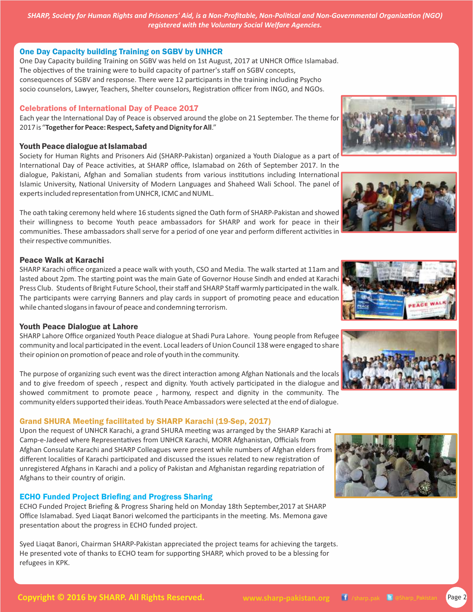# One Day Capacity building Training on SGBV by UNHCR

socio counselors, Lawyer, Teachers, Shelter counselors, Registration officer from INGO, and NGOs. One Day Capacity building Training on SGBV was held on 1st August, 2017 at UNHCR Office Islamabad. The objectives of the training were to build capacity of partner's staff on SGBV concepts, consequences of SGBV and response. There were 12 parcipants in the training including Psycho

# Celebrations of International Day of Peace 2017

Each year the International Day of Peace is observed around the globe on 21 September. The theme for 2017 is "**Together for Peace: Respect, Safety and Dignity for All**."

#### Youth Peace dialogue at Islamabad

Society for Human Rights and Prisoners Aid (SHARP-Pakistan) organized a Youth Dialogue as a part of International Day of Peace activities, at SHARP office, Islamabad on 26th of September 2017. In the dialogue, Pakistani, Afghan and Somalian students from various institutions including International Islamic University, National University of Modern Languages and Shaheed Wali School. The panel of experts included representation from UNHCR, ICMC and NUML.

The oath taking ceremony held where 16 students signed the Oath form of SHARP-Pakistan and showed their willingness to become Youth peace ambassadors for SHARP and work for peace in their communities. These ambassadors shall serve for a period of one year and perform different activities in their respective communities.

# Peace Walk at Karachi

SHARP Karachi office organized a peace walk with youth, CSO and Media. The walk started at 11am and lasted about 2pm. The starting point was the main Gate of Governor House Sindh and ended at Karachi Press Club. Students of Bright Future School, their staff and SHARP Staff warmly participated in the walk. The participants were carrying Banners and play cards in support of promoting peace and education while chanted slogans in favour of peace and condemning terrorism.

# Youth Peace Dialogue at Lahore

SHARP Lahore Office organized Youth Peace dialogue at Shadi Pura Lahore. Young people from Refugee community and local parcipated in the event. Local leaders of Union Council 138 were engaged to share their opinion on promotion of peace and role of youth in the community.

The purpose of organizing such event was the direct interaction among Afghan Nationals and the locals and to give freedom of speech, respect and dignity. Youth actively participated in the dialogue and showed commitment to promote peace , harmony, respect and dignity in the community. The community elders supported their ideas. Youth Peace Ambassadors were selected at the end of dialogue.

# Grand SHURA Meeting facilitated by SHARP Karachi (19-Sep, 2017)

Upon the request of UNHCR Karachi, a grand SHURA meeting was arranged by the SHARP Karachi at Camp-e-Jadeed where Representatives from UNHCR Karachi, MORR Afghanistan, Officials from Afghan Consulate Karachi and SHARP Colleagues were present while numbers of Afghan elders from different localities of Karachi participated and discussed the issues related to new registration of unregistered Afghans in Karachi and a policy of Pakistan and Afghanistan regarding repatriation of Afghans to their country of origin.

# ECHO Funded Project Briefing and Progress Sharing

ECHO Funded Project Briefing & Progress Sharing held on Monday 18th September,2017 at SHARP Office Islamabad. Syed Liagat Banori welcomed the participants in the meeting. Ms. Memona gave presentation about the progress in ECHO funded project.

Syed Liaqat Banori, Chairman SHARP-Pakistan appreciated the project teams for achieving the targets. He presented vote of thanks to ECHO team for supporting SHARP, which proved to be a blessing for refugees in KPK.













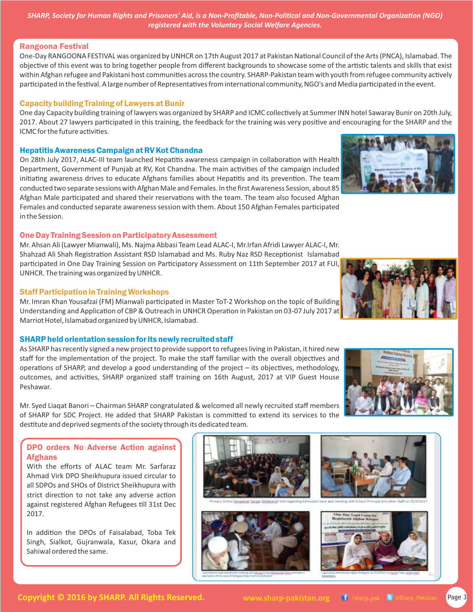#### Rangoona Festival

One-Day RANGOONA FESTIVAL was organized by UNHCR on 17th August 2017 at Pakistan National Council of the Arts (PNCA), Islamabad. The objective of this event was to bring together people from different backgrounds to showcase some of the artistic talents and skills that exist within Afghan refugee and Pakistani host communities across the country. SHARP-Pakistan team with youth from refugee community actively participated in the festival. A large number of Representatives from international community, NGO's and Media participated in the event.

#### Capacity building Training of Lawyers at Bunir

One day Capacity building training of lawyers was organized by SHARP and ICMC collectively at Summer INN hotel Sawaray Bunir on 20th July, 2017. About 27 lawyers participated in this training, the feedback for the training was very positive and encouraging for the SHARP and the ICMC for the future activities.

#### Hepatitis Awareness Campaign at RV Kot Chandna

On 28th July 2017, ALAC-III team launched Hepatitis awareness campaign in collaboration with Health Department, Government of Punjab at RV, Kot Chandna. The main activities of the campaign included initiating awareness drives to educate Afghans families about Hepatitis and its prevention. The team conducted two separate sessions with Afghan Male and Females. In the first Awareness Session, about 85 Afghan Male participated and shared their reservations with the team. The team also focused Afghan Females and conducted separate awareness session with them. About 150 Afghan Females participated in the Session.

# One Day Training Session on Participatory Assessment

Mr. Ahsan Ali (Lawyer Mianwali), Ms. Najma Abbasi Team Lead ALAC-I, Mr.Irfan Afridi Lawyer ALAC-I, Mr. Shahzad Ali Shah Registration Assistant RSD Islamabad and Ms. Ruby Naz RSD Receptionist Islamabad participated in One Day Training Session on Participatory Assessment on 11th September 2017 at FUI, UNHCR. The training was organized by UNHCR.

# Staff Participation in Training Workshops

Mr. Imran Khan Yousafzai (FM) Mianwali participated in Master ToT-2 Workshop on the topic of Building Understanding and Application of CBP & Outreach in UNHCR Operation in Pakistan on 03-07 July 2017 at Marriot Hotel, Islamabad organized by UNHCR, Islamabad.

# SHARP held orientation session for its newly recruited staff

As SHARP has recently signed a new project to provide support to refugees living in Pakistan, it hired new staff for the implementation of the project. To make the staff familiar with the overall objectives and operations of SHARP, and develop a good understanding of the project  $-$  its objectives, methodology, outcomes, and activities, SHARP organized staff training on 16th August, 2017 at VIP Guest House Peshawar.

Mr. Syed Liaqat Banori – Chairman SHARP congratulated & welcomed all newly recruited staff members of SHARP for SDC Project. He added that SHARP Pakistan is committed to extend its services to the destitute and deprived segments of the society through its dedicated team.

# DPO orders No Adverse Action against Afghans

With the efforts of ALAC team Mr. Sarfaraz Ahmad Virk DPO Sheikhupura issued circular to all SDPOs and SHOs of District Sheikhupura with strict direction to not take any adverse action against registered Afghan Refugees till 31st Dec 2017.

In addition the DPOs of Faisalabad, Toba Tek Singh, Sialkot, Gujranwala, Kasur, Okara and Sahiwal ordered the same.









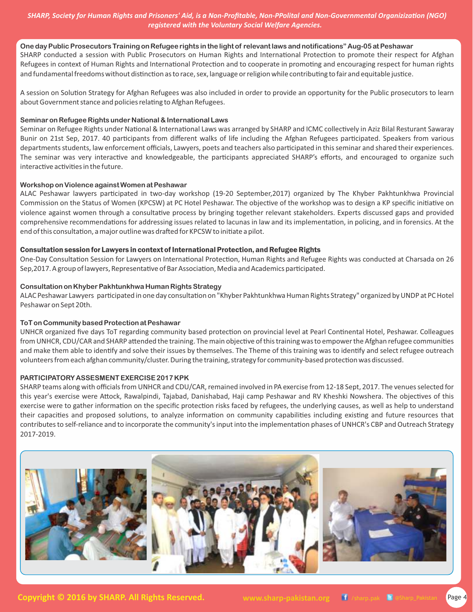#### **One day Public Prosecutors Training on Refugee rights in the light of relevant laws and notifications" Aug-05 at Peshawar**

SHARP conducted a session with Public Prosecutors on Human Rights and International Protection to promote their respect for Afghan Refugees in context of Human Rights and International Protection and to cooperate in promoting and encouraging respect for human rights and fundamental freedoms without distinction as to race, sex, language or religion while contributing to fair and equitable justice.

A session on Solution Strategy for Afghan Refugees was also included in order to provide an opportunity for the Public prosecutors to learn about Government stance and policies relating to Afghan Refugees.

#### **Seminar on Refugee Rights under National & International Laws**

Seminar on Refugee Rights under National & International Laws was arranged by SHARP and ICMC collectively in Aziz Bilal Resturant Sawaray Bunir on 21st Sep, 2017. 40 participants from different walks of life including the Afghan Refugees participated. Speakers from various departments students, law enforcement officials, Lawyers, poets and teachers also participated in this seminar and shared their experiences. The seminar was very interactive and knowledgeable, the participants appreciated SHARP's efforts, and encouraged to organize such interactive activities in the future.

#### **Workshop on Violence against Women at Peshawar**

ALAC Peshawar lawyers participated in two-day workshop (19-20 September, 2017) organized by The Khyber Pakhtunkhwa Provincial Commission on the Status of Women (KPCSW) at PC Hotel Peshawar. The objective of the workshop was to design a KP specific initiative on violence against women through a consultative process by bringing together relevant stakeholders. Experts discussed gaps and provided comprehensive recommendations for addressing issues related to lacunas in law and its implementation, in policing, and in forensics. At the end of this consultation, a major outline was drafted for KPCSW to initiate a pilot.

#### Consultation session for Lawyers in context of International Protection, and Refugee Rights

One-Day Consultation Session for Lawyers on International Protection, Human Rights and Refugee Rights was conducted at Charsada on 26 Sep,2017. A group of lawyers, Representative of Bar Association, Media and Academics participated.

#### **Consultation on Khyber Pakhtunkhwa Human Rights Strategy**

ALAC Peshawar Lawyers participated in one day consultation on "Khyber Pakhtunkhwa Human Rights Strategy" organized by UNDP at PC Hotel Peshawar on Sept 20th.

# **ToT on Community based Protection at Peshawar**

UNHCR organized five days ToT regarding community based protection on provincial level at Pearl Continental Hotel, Peshawar. Colleagues from UNHCR, CDU/CAR and SHARP attended the training. The main objective of this training was to empower the Afghan refugee communities and make them able to identify and solve their issues by themselves. The Theme of this training was to identify and select refugee outreach volunteers from each afghan community/cluster. During the training, strategy for community-based protection was discussed.

#### **PARTICIPATORY ASSESMENT EXERCISE 2017 KPK**

SHARP teams along with officials from UNHCR and CDU/CAR, remained involved in PA exercise from 12-18 Sept, 2017. The venues selected for this year's exercise were Attock, Rawalpindi, Tajabad, Danishabad, Haji camp Peshawar and RV Kheshki Nowshera. The objectives of this exercise were to gather information on the specific protection risks faced by refugees, the underlying causes, as well as help to understand their capacities and proposed solutions, to analyze information on community capabilities including existing and future resources that contributes to self-reliance and to incorporate the community's input into the implementation phases of UNHCR's CBP and Outreach Strategy 2017-2019.

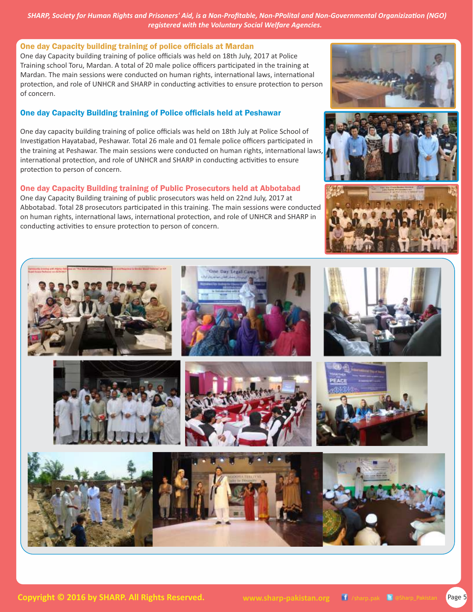#### One day Capacity building training of police officials at Mardan

One day Capacity building training of police officials was held on 18th July, 2017 at Police Training school Toru, Mardan. A total of 20 male police officers parcipated in the training at Mardan. The main sessions were conducted on human rights, international laws, international protection, and role of UNHCR and SHARP in conducting activities to ensure protection to person of concern.

# One day Capacity Building training of Police officials held at Peshawar

One day capacity building training of police officials was held on 18th July at Police School of Investigation Hayatabad, Peshawar. Total 26 male and 01 female police officers participated in the training at Peshawar. The main sessions were conducted on human rights, international laws, international protection, and role of UNHCR and SHARP in conducting activities to ensure protection to person of concern.

# One day Capacity Building training of Public Prosecutors held at Abbotabad

One day Capacity Building training of public prosecutors was held on 22nd July, 2017 at Abbotabad. Total 28 prosecutors participated in this training. The main sessions were conducted on human rights, international laws, international protection, and role of UNHCR and SHARP in conducting activities to ensure protection to person of concern.







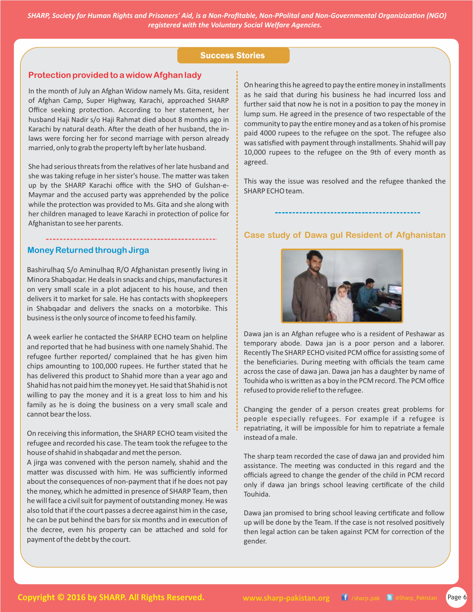#### Success Stories

#### **Protection provided to a widow Afghan lady**

In the month of July an Afghan Widow namely Ms. Gita, resident of Afghan Camp, Super Highway, Karachi, approached SHARP Office seeking protection. According to her statement, her husband Haji Nadir s/o Haji Rahmat died about 8 months ago in Karachi by natural death. After the death of her husband, the inlaws were forcing her for second marriage with person already married, only to grab the property left by her late husband.

She had serious threats from the relatives of her late husband and she was taking refuge in her sister's house. The matter was taken up by the SHARP Karachi office with the SHO of Gulshan-e-Maymar and the accused party was apprehended by the police while the protection was provided to Ms. Gita and she along with her children managed to leave Karachi in protection of police for Afghanistan to see her parents.

#### **Money Returned through Jirga**

Bashirulhaq S/o Aminulhaq R/O Afghanistan presently living in Minora Shabqadar. He deals in snacks and chips, manufactures it on very small scale in a plot adjacent to his house, and then delivers it to market for sale. He has contacts with shopkeepers in Shabqadar and delivers the snacks on a motorbike. This business is the only source of income to feed his family.

A week earlier he contacted the SHARP ECHO team on helpline and reported that he had business with one namely Shahid. The refugee further reported/ complained that he has given him chips amounting to 100,000 rupees. He further stated that he has delivered this product to Shahid more than a year ago and Shahid has not paid him the money yet. He said that Shahid is not willing to pay the money and it is a great loss to him and his family as he is doing the business on a very small scale and cannot bear the loss.

On receiving this information, the SHARP ECHO team visited the refugee and recorded his case. The team took the refugee to the house of shahid in shabqadar and met the person.

A jirga was convened with the person namely, shahid and the matter was discussed with him. He was sufficiently informed about the consequences of non-payment that if he does not pay the money, which he admitted in presence of SHARP Team, then he will face a civil suit for payment of outstanding money. He was also told that if the court passes a decree against him in the case, he can be put behind the bars for six months and in execution of the decree, even his property can be attached and sold for payment of the debt by the court.

On hearing this he agreed to pay the entire money in installments as he said that during his business he had incurred loss and further said that now he is not in a position to pay the money in lump sum. He agreed in the presence of two respectable of the community to pay the entire money and as a token of his promise paid 4000 rupees to the refugee on the spot. The refugee also was satisfied with payment through installments. Shahid will pay 10,000 rupees to the refugee on the 9th of every month as agreed.

This way the issue was resolved and the refugee thanked the SHARP ECHO team.

#### **Case study of Dawa gul Resident of Afghanistan**



Dawa jan is an Afghan refugee who is a resident of Peshawar as temporary abode. Dawa jan is a poor person and a laborer. Recently The SHARP ECHO visited PCM office for assisting some of the beneficiaries. During meeting with officials the team came across the case of dawa jan. Dawa jan has a daughter by name of Touhida who is written as a boy in the PCM record. The PCM office refused to provide relief to the refugee.

Changing the gender of a person creates great problems for people especially refugees. For example if a refugee is repatriating, it will be impossible for him to repatriate a female instead of a male.

The sharp team recorded the case of dawa jan and provided him assistance. The meeting was conducted in this regard and the officials agreed to change the gender of the child in PCM record only if dawa jan brings school leaving certificate of the child Touhida.

Dawa jan promised to bring school leaving certificate and follow up will be done by the Team. If the case is not resolved positively then legal action can be taken against PCM for correction of the gender.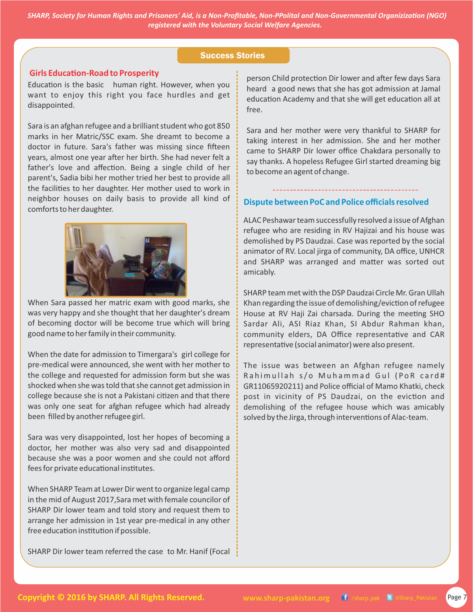#### Success Stories

#### **Girls Education-Road to Prosperity**

Education is the basic human right. However, when you want to enjoy this right you face hurdles and get disappointed.

Sara is an afghan refugee and a brilliant student who got 850 marks in her Matric/SSC exam. She dreamt to become a doctor in future. Sara's father was missing since fifteen years, almost one year after her birth. She had never felt a father's love and affection. Being a single child of her parent's, Sadia bibi her mother tried her best to provide all the facilities to her daughter. Her mother used to work in neighbor houses on daily basis to provide all kind of comforts to her daughter.



When Sara passed her matric exam with good marks, she was very happy and she thought that her daughter's dream of becoming doctor will be become true which will bring good name to her family in their community.

When the date for admission to Timergara's girl college for pre-medical were announced, she went with her mother to the college and requested for admission form but she was shocked when she was told that she cannot get admission in college because she is not a Pakistani citizen and that there was only one seat for afghan refugee which had already been filled by another refugee girl.

Sara was very disappointed, lost her hopes of becoming a doctor, her mother was also very sad and disappointed because she was a poor women and she could not afford fees for private educational institutes.

When SHARP Team at Lower Dir went to organize legal camp in the mid of August 2017,Sara met with female councilor of SHARP Dir lower team and told story and request them to arrange her admission in 1st year pre-medical in any other free education institution if possible.

SHARP Dir lower team referred the case to Mr. Hanif (Focal

person Child protection Dir lower and after few days Sara heard a good news that she has got admission at Jamal education Academy and that she will get education all at free.

Sara and her mother were very thankful to SHARP for taking interest in her admission. She and her mother came to SHARP Dir lower office Chakdara personally to say thanks. A hopeless Refugee Girl started dreaming big to become an agent of change.

#### **Dispute between PoC and Police officials resolved**

ALAC Peshawar team successfully resolved a issue of Afghan refugee who are residing in RV Hajizai and his house was demolished by PS Daudzai. Case was reported by the social animator of RV. Local jirga of community, DA office, UNHCR and SHARP was arranged and matter was sorted out amicably.

SHARP team met with the DSP Daudzai Circle Mr. Gran Ullah Khan regarding the issue of demolishing/eviction of refugee House at RV Haji Zai charsada. During the meeting SHO Sardar Ali, ASI Riaz Khan, SI Abdur Rahman khan, community elders, DA Office representative and CAR representative (social animator) were also present.

The issue was between an Afghan refugee namely Rahimullah s/o Muhammad Gul (PoR card# GR11065920211) and Police official of Mamo Khatki, check post in vicinity of PS Daudzai, on the eviction and demolishing of the refugee house which was amicably solved by the Jirga, through interventions of Alac-team.